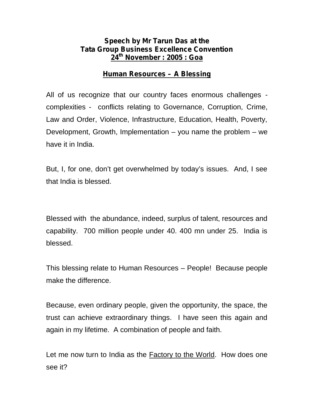## **Speech by Mr Tarun Das at the Tata Group Business Excellence Convention 24th November : 2005 : Goa**

## **Human Resources – A Blessing**

All of us recognize that our country faces enormous challenges complexities - conflicts relating to Governance, Corruption, Crime, Law and Order, Violence, Infrastructure, Education, Health, Poverty, Development, Growth, Implementation – you name the problem – we have it in India.

But, I, for one, don't get overwhelmed by today's issues. And, I see that India is blessed.

Blessed with the abundance, indeed, surplus of talent, resources and capability. 700 million people under 40. 400 mn under 25. India is blessed.

This blessing relate to Human Resources – People! Because people make the difference.

Because, even ordinary people, given the opportunity, the space, the trust can achieve extraordinary things. I have seen this again and again in my lifetime. A combination of people and faith.

Let me now turn to India as the **Factory to the World.** How does one see it?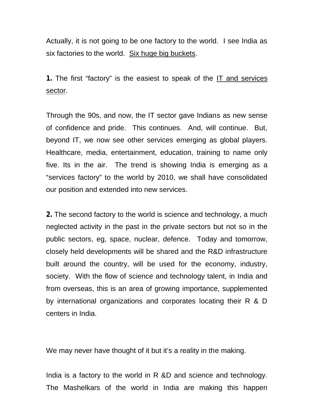Actually, it is not going to be one factory to the world. I see India as six factories to the world. Six huge big buckets.

**1.** The first "factory" is the easiest to speak of the IT and services sector.

Through the 90s, and now, the IT sector gave Indians as new sense of confidence and pride. This continues. And, will continue. But, beyond IT, we now see other services emerging as global players. Healthcare, media, entertainment, education, training to name only five. Its in the air. The trend is showing India is emerging as a "services factory" to the world by 2010, we shall have consolidated our position and extended into new services.

**2.** The second factory to the world is science and technology, a much neglected activity in the past in the private sectors but not so in the public sectors, eg, space, nuclear, defence. Today and tomorrow, closely held developments will be shared and the R&D infrastructure built around the country, will be used for the economy, industry, society. With the flow of science and technology talent, in India and from overseas, this is an area of growing importance, supplemented by international organizations and corporates locating their R & D centers in India.

We may never have thought of it but it's a reality in the making.

India is a factory to the world in R &D and science and technology. The Mashelkars of the world in India are making this happen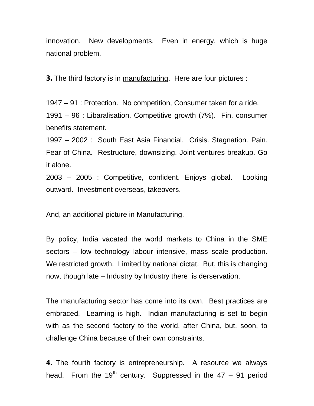innovation. New developments. Even in energy, which is huge national problem.

**3.** The third factory is in manufacturing. Here are four pictures :

1947 – 91 : Protection. No competition, Consumer taken for a ride. 1991 – 96 : Libaralisation. Competitive growth (7%). Fin. consumer benefits statement.

1997 – 2002 : South East Asia Financial. Crisis. Stagnation. Pain. Fear of China. Restructure, downsizing. Joint ventures breakup. Go it alone.

2003 – 2005 : Competitive, confident. Enjoys global. Looking outward. Investment overseas, takeovers.

And, an additional picture in Manufacturing.

By policy, India vacated the world markets to China in the SME sectors – low technology labour intensive, mass scale production. We restricted growth. Limited by national dictat. But, this is changing now, though late – Industry by Industry there is derservation.

The manufacturing sector has come into its own. Best practices are embraced. Learning is high. Indian manufacturing is set to begin with as the second factory to the world, after China, but, soon, to challenge China because of their own constraints.

**4.** The fourth factory is entrepreneurship. A resource we always head. From the 19<sup>th</sup> century. Suppressed in the  $47 - 91$  period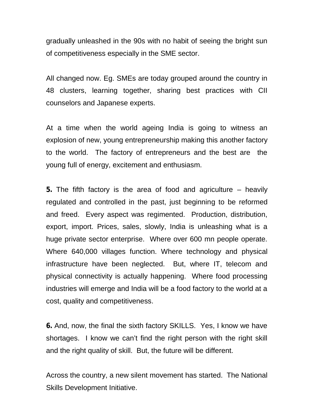gradually unleashed in the 90s with no habit of seeing the bright sun of competitiveness especially in the SME sector.

All changed now. Eg. SMEs are today grouped around the country in 48 clusters, learning together, sharing best practices with CII counselors and Japanese experts.

At a time when the world ageing India is going to witness an explosion of new, young entrepreneurship making this another factory to the world. The factory of entrepreneurs and the best are the young full of energy, excitement and enthusiasm.

**5.** The fifth factory is the area of food and agriculture – heavily regulated and controlled in the past, just beginning to be reformed and freed. Every aspect was regimented. Production, distribution, export, import. Prices, sales, slowly, India is unleashing what is a huge private sector enterprise. Where over 600 mn people operate. Where 640,000 villages function. Where technology and physical infrastructure have been neglected. But, where IT, telecom and physical connectivity is actually happening. Where food processing industries will emerge and India will be a food factory to the world at a cost, quality and competitiveness.

**6.** And, now, the final the sixth factory SKILLS. Yes, I know we have shortages. I know we can't find the right person with the right skill and the right quality of skill. But, the future will be different.

Across the country, a new silent movement has started. The National Skills Development Initiative.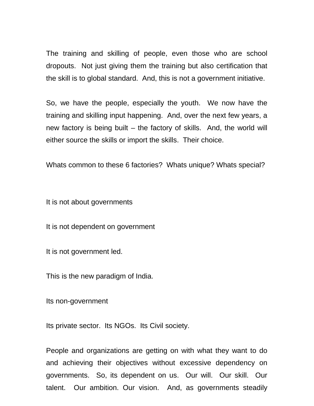The training and skilling of people, even those who are school dropouts. Not just giving them the training but also certification that the skill is to global standard. And, this is not a government initiative.

So, we have the people, especially the youth. We now have the training and skilling input happening. And, over the next few years, a new factory is being built – the factory of skills. And, the world will either source the skills or import the skills. Their choice.

Whats common to these 6 factories? Whats unique? Whats special?

It is not about governments

It is not dependent on government

It is not government led.

This is the new paradigm of India.

Its non-government

Its private sector. Its NGOs. Its Civil society.

People and organizations are getting on with what they want to do and achieving their objectives without excessive dependency on governments. So, its dependent on us. Our will. Our skill. Our talent. Our ambition. Our vision. And, as governments steadily